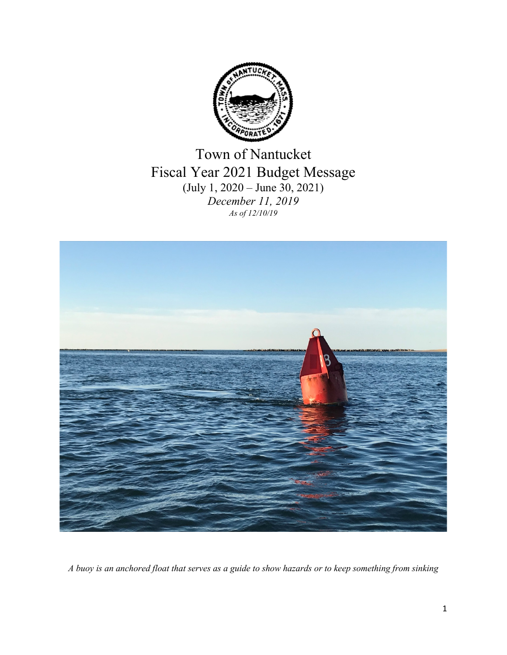

Town of Nantucket Fiscal Year 2021 Budget Message (July 1, 2020 – June 30, 2021) *December 11, 2019 As of 12/10/19*



*A buoy is an anchored float that serves as a guide to show hazards or to keep something from sinking*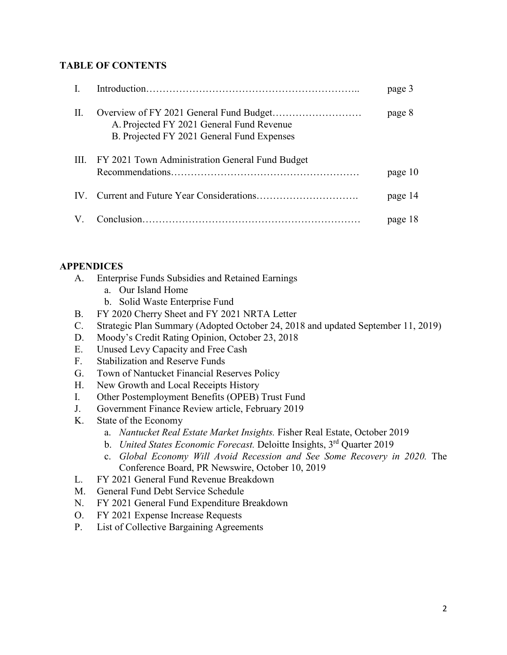### **TABLE OF CONTENTS**

|     |                                                                                         | page 3  |
|-----|-----------------------------------------------------------------------------------------|---------|
| II. | A. Projected FY 2021 General Fund Revenue<br>B. Projected FY 2021 General Fund Expenses | page 8  |
|     | III. FY 2021 Town Administration General Fund Budget                                    | page 10 |
|     |                                                                                         | page 14 |
|     |                                                                                         | page 18 |

### **APPENDICES**

- A. Enterprise Funds Subsidies and Retained Earnings
	- a. Our Island Home
	- b. Solid Waste Enterprise Fund
- B. FY 2020 Cherry Sheet and FY 2021 NRTA Letter
- C. Strategic Plan Summary (Adopted October 24, 2018 and updated September 11, 2019)
- D. Moody's Credit Rating Opinion, October 23, 2018
- E. Unused Levy Capacity and Free Cash
- F. Stabilization and Reserve Funds
- G. Town of Nantucket Financial Reserves Policy
- H. New Growth and Local Receipts History
- I. Other Postemployment Benefits (OPEB) Trust Fund
- J. Government Finance Review article, February 2019
- K. State of the Economy
	- a. *Nantucket Real Estate Market Insights.* Fisher Real Estate, October 2019
	- b. *United States Economic Forecast.* Deloitte Insights, 3rd Quarter 2019
	- c. *Global Economy Will Avoid Recession and See Some Recovery in 2020.* The Conference Board, PR Newswire, October 10, 2019
- L. FY 2021 General Fund Revenue Breakdown
- M. General Fund Debt Service Schedule
- N. FY 2021 General Fund Expenditure Breakdown
- O. FY 2021 Expense Increase Requests
- P. List of Collective Bargaining Agreements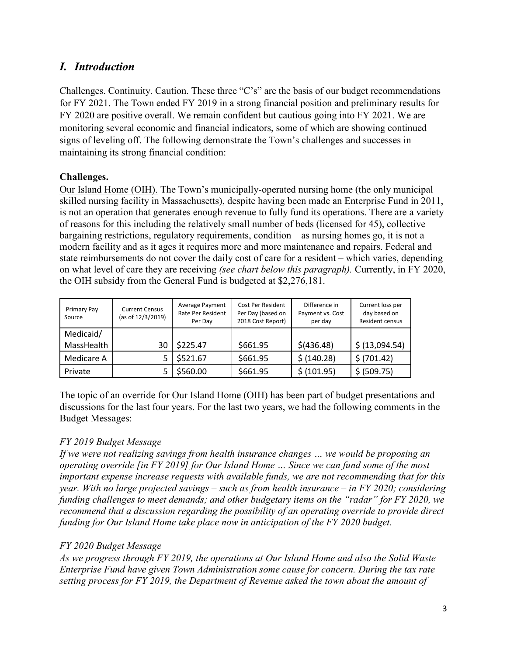# *I. Introduction*

Challenges. Continuity. Caution. These three "C's" are the basis of our budget recommendations for FY 2021. The Town ended FY 2019 in a strong financial position and preliminary results for FY 2020 are positive overall. We remain confident but cautious going into FY 2021. We are monitoring several economic and financial indicators, some of which are showing continued signs of leveling off. The following demonstrate the Town's challenges and successes in maintaining its strong financial condition:

### **Challenges.**

Our Island Home (OIH). The Town's municipally-operated nursing home (the only municipal skilled nursing facility in Massachusetts), despite having been made an Enterprise Fund in 2011, is not an operation that generates enough revenue to fully fund its operations. There are a variety of reasons for this including the relatively small number of beds (licensed for 45), collective bargaining restrictions, regulatory requirements, condition – as nursing homes go, it is not a modern facility and as it ages it requires more and more maintenance and repairs. Federal and state reimbursements do not cover the daily cost of care for a resident – which varies, depending on what level of care they are receiving *(see chart below this paragraph).* Currently, in FY 2020, the OIH subsidy from the General Fund is budgeted at \$2,276,181.

| Primary Pay<br>Source | <b>Current Census</b><br>(as of 12/3/2019) | Average Payment<br>Rate Per Resident<br>Per Day | Cost Per Resident<br>Per Day (based on<br>2018 Cost Report) | Difference in<br>Payment vs. Cost<br>per day | Current loss per<br>day based on<br>Resident census |  |
|-----------------------|--------------------------------------------|-------------------------------------------------|-------------------------------------------------------------|----------------------------------------------|-----------------------------------------------------|--|
| Medicaid/             |                                            |                                                 |                                                             |                                              |                                                     |  |
| MassHealth            | 30                                         | \$225.47                                        | \$661.95                                                    | $$$ (436.48)                                 | \$ (13,094.54)                                      |  |
| Medicare A            | 5                                          | \$521.67                                        | \$661.95                                                    | \$ (140.28)                                  | \$ (701.42)                                         |  |
| Private               |                                            | \$560.00                                        | \$661.95                                                    | \$ (101.95)                                  | \$ (509.75)                                         |  |

The topic of an override for Our Island Home (OIH) has been part of budget presentations and discussions for the last four years. For the last two years, we had the following comments in the Budget Messages:

# *FY 2019 Budget Message*

*If we were not realizing savings from health insurance changes … we would be proposing an operating override [in FY 2019] for Our Island Home … Since we can fund some of the most important expense increase requests with available funds, we are not recommending that for this year. With no large projected savings – such as from health insurance – in FY 2020; considering funding challenges to meet demands; and other budgetary items on the "radar" for FY 2020, we recommend that a discussion regarding the possibility of an operating override to provide direct funding for Our Island Home take place now in anticipation of the FY 2020 budget.*

### *FY 2020 Budget Message*

*As we progress through FY 2019, the operations at Our Island Home and also the Solid Waste Enterprise Fund have given Town Administration some cause for concern. During the tax rate setting process for FY 2019, the Department of Revenue asked the town about the amount of*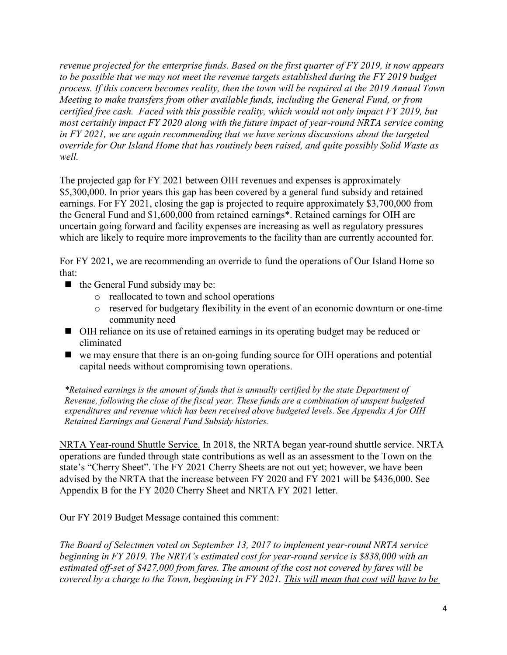*revenue projected for the enterprise funds. Based on the first quarter of FY 2019, it now appears to be possible that we may not meet the revenue targets established during the FY 2019 budget process. If this concern becomes reality, then the town will be required at the 2019 Annual Town Meeting to make transfers from other available funds, including the General Fund, or from certified free cash. Faced with this possible reality, which would not only impact FY 2019, but most certainly impact FY 2020 along with the future impact of year-round NRTA service coming in FY 2021, we are again recommending that we have serious discussions about the targeted override for Our Island Home that has routinely been raised, and quite possibly Solid Waste as well.* 

The projected gap for FY 2021 between OIH revenues and expenses is approximately \$5,300,000. In prior years this gap has been covered by a general fund subsidy and retained earnings. For FY 2021, closing the gap is projected to require approximately \$3,700,000 from the General Fund and \$1,600,000 from retained earnings\*. Retained earnings for OIH are uncertain going forward and facility expenses are increasing as well as regulatory pressures which are likely to require more improvements to the facility than are currently accounted for.

For FY 2021, we are recommending an override to fund the operations of Our Island Home so that:

- $\blacksquare$  the General Fund subsidy may be:
	- o reallocated to town and school operations
	- o reserved for budgetary flexibility in the event of an economic downturn or one-time community need
- OIH reliance on its use of retained earnings in its operating budget may be reduced or eliminated
- we may ensure that there is an on-going funding source for OIH operations and potential capital needs without compromising town operations.

*\*Retained earnings is the amount of funds that is annually certified by the state Department of Revenue, following the close of the fiscal year. These funds are a combination of unspent budgeted expenditures and revenue which has been received above budgeted levels. See Appendix A for OIH Retained Earnings and General Fund Subsidy histories.*

NRTA Year-round Shuttle Service. In 2018, the NRTA began year-round shuttle service. NRTA operations are funded through state contributions as well as an assessment to the Town on the state's "Cherry Sheet". The FY 2021 Cherry Sheets are not out yet; however, we have been advised by the NRTA that the increase between FY 2020 and FY 2021 will be \$436,000. See Appendix B for the FY 2020 Cherry Sheet and NRTA FY 2021 letter.

Our FY 2019 Budget Message contained this comment:

*The Board of Selectmen voted on September 13, 2017 to implement year-round NRTA service beginning in FY 2019. The NRTA's estimated cost for year-round service is \$838,000 with an estimated off-set of \$427,000 from fares. The amount of the cost not covered by fares will be covered by a charge to the Town, beginning in FY 2021. This will mean that cost will have to be*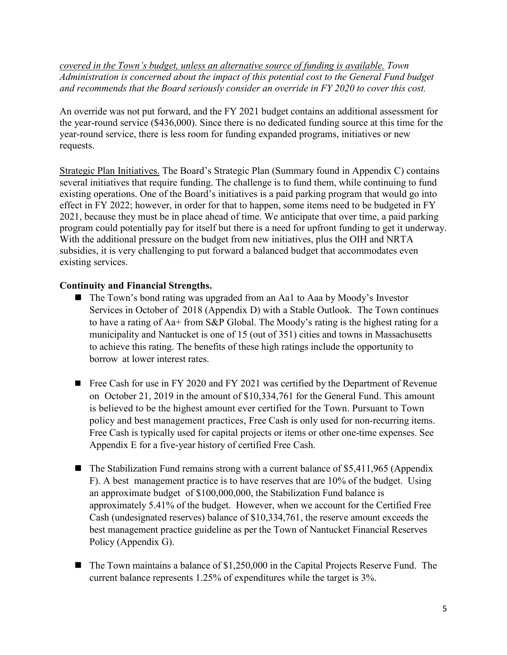*covered in the Town's budget, unless an alternative source of funding is available. Town Administration is concerned about the impact of this potential cost to the General Fund budget and recommends that the Board seriously consider an override in FY 2020 to cover this cost.*

An override was not put forward, and the FY 2021 budget contains an additional assessment for the year-round service (\$436,000). Since there is no dedicated funding source at this time for the year-round service, there is less room for funding expanded programs, initiatives or new requests.

Strategic Plan Initiatives. The Board's Strategic Plan (Summary found in Appendix C) contains several initiatives that require funding. The challenge is to fund them, while continuing to fund existing operations. One of the Board's initiatives is a paid parking program that would go into effect in FY 2022; however, in order for that to happen, some items need to be budgeted in FY 2021, because they must be in place ahead of time. We anticipate that over time, a paid parking program could potentially pay for itself but there is a need for upfront funding to get it underway. With the additional pressure on the budget from new initiatives, plus the OIH and NRTA subsidies, it is very challenging to put forward a balanced budget that accommodates even existing services.

### **Continuity and Financial Strengths.**

- The Town's bond rating was upgraded from an Aa1 to Aaa by Moody's Investor Services in October of 2018 (Appendix D) with a Stable Outlook. The Town continues to have a rating of Aa+ from S&P Global. The Moody's rating is the highest rating for a municipality and Nantucket is one of 15 (out of 351) cities and towns in Massachusetts to achieve this rating. The benefits of these high ratings include the opportunity to borrow at lower interest rates.
- Free Cash for use in FY 2020 and FY 2021 was certified by the Department of Revenue on October 21, 2019 in the amount of \$10,334,761 for the General Fund. This amount is believed to be the highest amount ever certified for the Town. Pursuant to Town policy and best management practices, Free Cash is only used for non-recurring items. Free Cash is typically used for capital projects or items or other one-time expenses. See Appendix E for a five-year history of certified Free Cash.
- $\blacksquare$  The Stabilization Fund remains strong with a current balance of \$5,411,965 (Appendix F). A best management practice is to have reserves that are 10% of the budget. Using an approximate budget of \$100,000,000, the Stabilization Fund balance is approximately 5.41% of the budget. However, when we account for the Certified Free Cash (undesignated reserves) balance of \$10,334,761, the reserve amount exceeds the best management practice guideline as per the Town of Nantucket Financial Reserves Policy (Appendix G).
- The Town maintains a balance of \$1,250,000 in the Capital Projects Reserve Fund. The current balance represents 1.25% of expenditures while the target is 3%.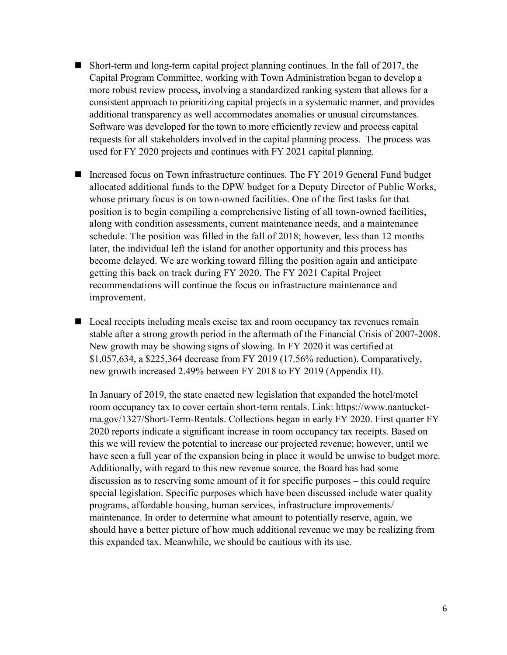- Short-term and long-term capital project planning continues. In the fall of 2017, the Capital Program Committee, working with Town Administration began to develop a more robust review process, involving a standardized ranking system that allows for a consistent approach to prioritizing capital projects in a systematic manner, and provides additional transparency as well accommodates anomalies or unusual circumstances. Software was developed for the town to more efficiently review and process capital requests for all stakeholders involved in the capital planning process. The process was used for FY 2020 projects and continues with FY 2021 capital planning.
- Increased focus on Town infrastructure continues. The FY 2019 General Fund budget allocated additional funds to the DPW budget for a Deputy Director of Public Works, whose primary focus is on town-owned facilities. One of the first tasks for that position is to begin compiling a comprehensive listing of all town-owned facilities, along with condition assessments, current maintenance needs, and a maintenance schedule. The position was filled in the fall of 2018; however, less than 12 months later, the individual left the island for another opportunity and this process has become delayed. We are working toward filling the position again and anticipate getting this back on track during FY 2020. The FY 2021 Capital Project recommendations will continue the focus on infrastructure maintenance and improvement.
- Local receipts including meals excise tax and room occupancy tax revenues remain stable after a strong growth period in the aftermath of the Financial Crisis of 2007-2008. New growth may be showing signs of slowing. In FY 2020 it was certified at \$1,057,634, a \$225,364 decrease from FY 2019 (17.56% reduction). Comparatively, new growth increased 2.49% between FY 2018 to FY 2019 (Appendix H).

In January of 2019, the state enacted new legislation that expanded the hotel/motel room occupancy tax to cover certain short-term rentals. Link: https://www.nantucketma.gov/1327/Short-Term-Rentals. Collections began in early FY 2020. First quarter FY 2020 reports indicate a significant increase in room occupancy tax receipts. Based on this we will review the potential to increase our projected revenue; however, until we have seen a full year of the expansion being in place it would be unwise to budget more. Additionally, with regard to this new revenue source, the Board has had some discussion as to reserving some amount of it for specific purposes – this could require special legislation. Specific purposes which have been discussed include water quality programs, affordable housing, human services, infrastructure improvements/ maintenance. In order to determine what amount to potentially reserve, again, we should have a better picture of how much additional revenue we may be realizing from this expanded tax. Meanwhile, we should be cautious with its use.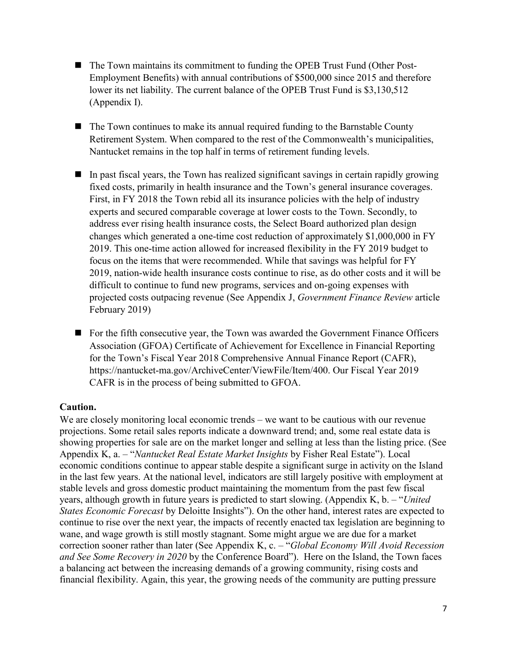- The Town maintains its commitment to funding the OPEB Trust Fund (Other Post-Employment Benefits) with annual contributions of \$500,000 since 2015 and therefore lower its net liability. The current balance of the OPEB Trust Fund is \$3,130,512 (Appendix I).
- The Town continues to make its annual required funding to the Barnstable County Retirement System. When compared to the rest of the Commonwealth's municipalities, Nantucket remains in the top half in terms of retirement funding levels.
- $\blacksquare$  In past fiscal years, the Town has realized significant savings in certain rapidly growing fixed costs, primarily in health insurance and the Town's general insurance coverages. First, in FY 2018 the Town rebid all its insurance policies with the help of industry experts and secured comparable coverage at lower costs to the Town. Secondly, to address ever rising health insurance costs, the Select Board authorized plan design changes which generated a one-time cost reduction of approximately \$1,000,000 in FY 2019. This one-time action allowed for increased flexibility in the FY 2019 budget to focus on the items that were recommended. While that savings was helpful for FY 2019, nation-wide health insurance costs continue to rise, as do other costs and it will be difficult to continue to fund new programs, services and on-going expenses with projected costs outpacing revenue (See Appendix J, *Government Finance Review* article February 2019)
- For the fifth consecutive year, the Town was awarded the Government Finance Officers Association (GFOA) Certificate of Achievement for Excellence in Financial Reporting for the Town's Fiscal Year 2018 Comprehensive Annual Finance Report (CAFR), https://nantucket-ma.gov/ArchiveCenter/ViewFile/Item/400. Our Fiscal Year 2019 CAFR is in the process of being submitted to GFOA.

### **Caution.**

We are closely monitoring local economic trends – we want to be cautious with our revenue projections. Some retail sales reports indicate a downward trend; and, some real estate data is showing properties for sale are on the market longer and selling at less than the listing price. (See Appendix K, a. – "*Nantucket Real Estate Market Insights* by Fisher Real Estate"). Local economic conditions continue to appear stable despite a significant surge in activity on the Island in the last few years. At the national level, indicators are still largely positive with employment at stable levels and gross domestic product maintaining the momentum from the past few fiscal years, although growth in future years is predicted to start slowing. (Appendix K, b. – "*United States Economic Forecast* by Deloitte Insights"). On the other hand, interest rates are expected to continue to rise over the next year, the impacts of recently enacted tax legislation are beginning to wane, and wage growth is still mostly stagnant. Some might argue we are due for a market correction sooner rather than later (See Appendix K, c. – "*Global Economy Will Avoid Recession and See Some Recovery in 2020* by the Conference Board"). Here on the Island, the Town faces a balancing act between the increasing demands of a growing community, rising costs and financial flexibility. Again, this year, the growing needs of the community are putting pressure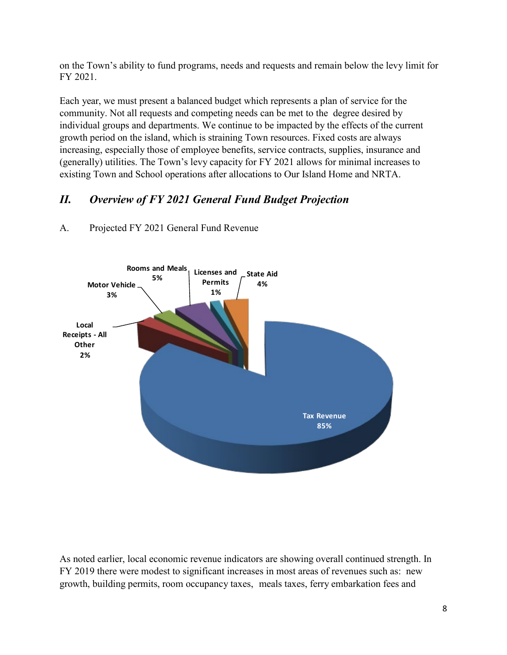on the Town's ability to fund programs, needs and requests and remain below the levy limit for FY 2021.

Each year, we must present a balanced budget which represents a plan of service for the community. Not all requests and competing needs can be met to the degree desired by individual groups and departments. We continue to be impacted by the effects of the current growth period on the island, which is straining Town resources. Fixed costs are always increasing, especially those of employee benefits, service contracts, supplies, insurance and (generally) utilities. The Town's levy capacity for FY 2021 allows for minimal increases to existing Town and School operations after allocations to Our Island Home and NRTA.

# *II. Overview of FY 2021 General Fund Budget Projection*



A. Projected FY 2021 General Fund Revenue

As noted earlier, local economic revenue indicators are showing overall continued strength. In FY 2019 there were modest to significant increases in most areas of revenues such as: new growth, building permits, room occupancy taxes, meals taxes, ferry embarkation fees and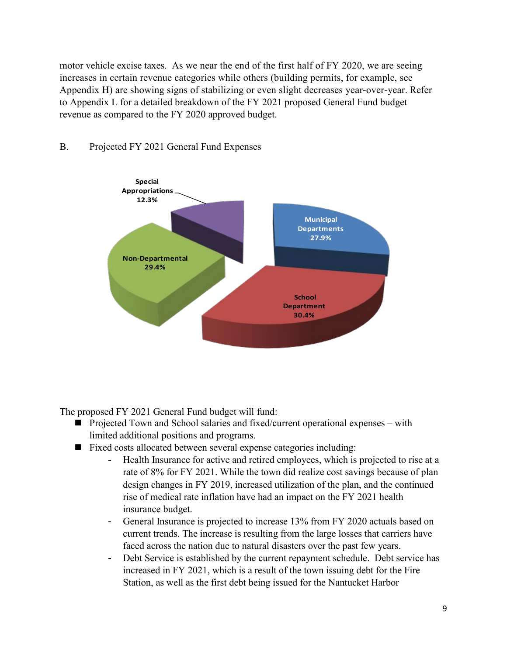motor vehicle excise taxes. As we near the end of the first half of FY 2020, we are seeing increases in certain revenue categories while others (building permits, for example, see Appendix H) are showing signs of stabilizing or even slight decreases year-over-year. Refer to Appendix L for a detailed breakdown of the FY 2021 proposed General Fund budget revenue as compared to the FY 2020 approved budget.



### B. Projected FY 2021 General Fund Expenses

The proposed FY 2021 General Fund budget will fund:

- Projected Town and School salaries and fixed/current operational expenses with limited additional positions and programs.
- Fixed costs allocated between several expense categories including:
	- Health Insurance for active and retired employees, which is projected to rise at a rate of 8% for FY 2021. While the town did realize cost savings because of plan design changes in FY 2019, increased utilization of the plan, and the continued rise of medical rate inflation have had an impact on the FY 2021 health insurance budget.
	- General Insurance is projected to increase 13% from FY 2020 actuals based on current trends. The increase is resulting from the large losses that carriers have faced across the nation due to natural disasters over the past few years.
	- Debt Service is established by the current repayment schedule. Debt service has increased in FY 2021, which is a result of the town issuing debt for the Fire Station, as well as the first debt being issued for the Nantucket Harbor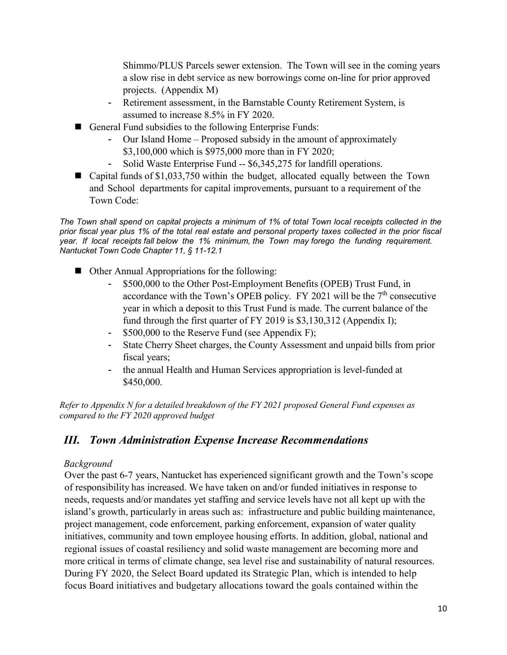Shimmo/PLUS Parcels sewer extension. The Town will see in the coming years a slow rise in debt service as new borrowings come on-line for prior approved projects. (Appendix M)

- Retirement assessment, in the Barnstable County Retirement System, is assumed to increase 8.5% in FY 2020.
- General Fund subsidies to the following Enterprise Funds:
	- Our Island Home Proposed subsidy in the amount of approximately \$3,100,000 which is \$975,000 more than in FY 2020;
	- Solid Waste Enterprise Fund -- \$6,345,275 for landfill operations.
- **E** Capital funds of  $$1,033,750$  within the budget, allocated equally between the Town and School departments for capital improvements, pursuant to a requirement of the Town Code:

The Town shall spend on capital projects a minimum of 1% of total Town local receipts collected in the prior fiscal year plus 1% of the total real estate and personal property taxes collected in the prior fiscal *year. If local receipts fall below the 1% minimum, the Town may forego the funding requirement. Nantucket Town Code Chapter 11, § 11-12.1*

- Other Annual Appropriations for the following:
	- \$500,000 to the Other Post-Employment Benefits (OPEB) Trust Fund, in accordance with the Town's OPEB policy. FY 2021 will be the  $7<sup>th</sup>$  consecutive year in which a deposit to this Trust Fund is made. The current balance of the fund through the first quarter of FY 2019 is \$3,130,312 (Appendix I);
	- \$500,000 to the Reserve Fund (see Appendix F);
	- State Cherry Sheet charges, the County Assessment and unpaid bills from prior fiscal years;
	- the annual Health and Human Services appropriation is level-funded at \$450,000.

*Refer to Appendix N for a detailed breakdown of the FY 2021 proposed General Fund expenses as compared to the FY 2020 approved budget*

# *III. Town Administration Expense Increase Recommendations*

### *Background*

Over the past 6-7 years, Nantucket has experienced significant growth and the Town's scope of responsibility has increased. We have taken on and/or funded initiatives in response to needs, requests and/or mandates yet staffing and service levels have not all kept up with the island's growth, particularly in areas such as: infrastructure and public building maintenance, project management, code enforcement, parking enforcement, expansion of water quality initiatives, community and town employee housing efforts. In addition, global, national and regional issues of coastal resiliency and solid waste management are becoming more and more critical in terms of climate change, sea level rise and sustainability of natural resources. During FY 2020, the Select Board updated its Strategic Plan, which is intended to help focus Board initiatives and budgetary allocations toward the goals contained within the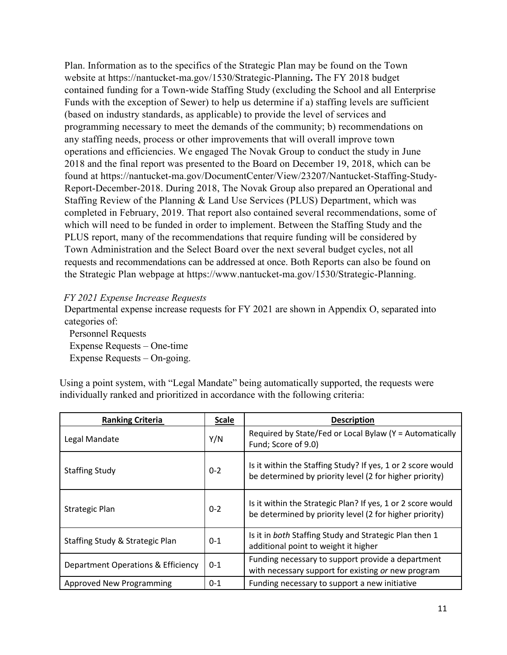Plan. Information as to the specifics of the Strategic Plan may be found on the Town website at https://nantucket-ma.gov/1530/Strategic-Planning**.** The FY 2018 budget contained funding for a Town-wide Staffing Study (excluding the School and all Enterprise Funds with the exception of Sewer) to help us determine if a) staffing levels are sufficient (based on industry standards, as applicable) to provide the level of services and programming necessary to meet the demands of the community; b) recommendations on any staffing needs, process or other improvements that will overall improve town operations and efficiencies. We engaged The Novak Group to conduct the study in June 2018 and the final report was presented to the Board on December 19, 2018, which can be found at https://nantucket-ma.gov/DocumentCenter/View/23207/Nantucket-Staffing-Study-Report-December-2018. During 2018, The Novak Group also prepared an Operational and Staffing Review of the Planning & Land Use Services (PLUS) Department, which was completed in February, 2019. That report also contained several recommendations, some of which will need to be funded in order to implement. Between the Staffing Study and the PLUS report, many of the recommendations that require funding will be considered by Town Administration and the Select Board over the next several budget cycles, not all requests and recommendations can be addressed at once. Both Reports can also be found on the Strategic Plan webpage at https://www.nantucket-ma.gov/1530/Strategic-Planning.

#### *FY 2021 Expense Increase Requests*

Departmental expense increase requests for FY 2021 are shown in Appendix O, separated into categories of:

 Personnel Requests Expense Requests – One-time Expense Requests – On-going.

Using a point system, with "Legal Mandate" being automatically supported, the requests were individually ranked and prioritized in accordance with the following criteria:

| <b>Ranking Criteria</b>            | <b>Scale</b> | <b>Description</b>                                                                                                     |
|------------------------------------|--------------|------------------------------------------------------------------------------------------------------------------------|
| Legal Mandate                      | Y/N          | Required by State/Fed or Local Bylaw (Y = Automatically<br>Fund; Score of 9.0)                                         |
| <b>Staffing Study</b>              | $0 - 2$      | Is it within the Staffing Study? If yes, 1 or 2 score would<br>be determined by priority level (2 for higher priority) |
| <b>Strategic Plan</b>              | $0 - 2$      | Is it within the Strategic Plan? If yes, 1 or 2 score would<br>be determined by priority level (2 for higher priority) |
| Staffing Study & Strategic Plan    | $0 - 1$      | Is it in both Staffing Study and Strategic Plan then 1<br>additional point to weight it higher                         |
| Department Operations & Efficiency | $0 - 1$      | Funding necessary to support provide a department<br>with necessary support for existing or new program                |
| <b>Approved New Programming</b>    | $0 - 1$      | Funding necessary to support a new initiative                                                                          |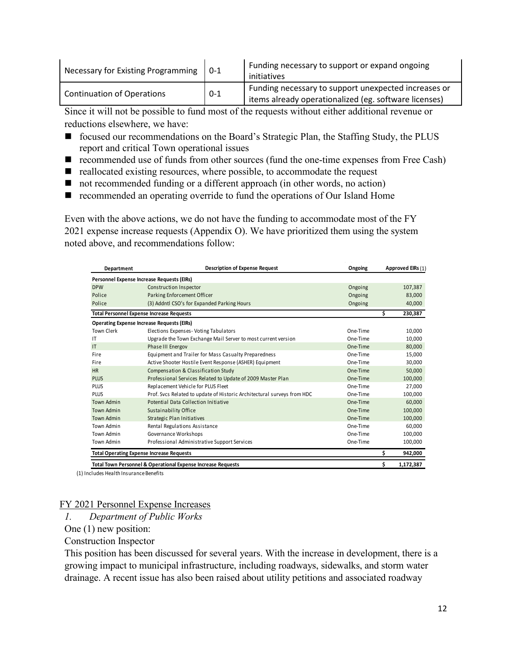| Necessary for Existing Programming | 0-1     | Funding necessary to support or expand ongoing<br>initiatives                                                 |
|------------------------------------|---------|---------------------------------------------------------------------------------------------------------------|
| <b>Continuation of Operations</b>  | $0 - 1$ | Funding necessary to support unexpected increases or<br>items already operationalized (eg. software licenses) |

Since it will not be possible to fund most of the requests without either additional revenue or reductions elsewhere, we have:

- focused our recommendations on the Board's Strategic Plan, the Staffing Study, the PLUS report and critical Town operational issues
- recommended use of funds from other sources (fund the one-time expenses from Free Cash)
- $\blacksquare$  reallocated existing resources, where possible, to accommodate the request
- not recommended funding or a different approach (in other words, no action)
- recommended an operating override to fund the operations of Our Island Home

Even with the above actions, we do not have the funding to accommodate most of the FY 2021 expense increase requests (Appendix O). We have prioritized them using the system noted above, and recommendations follow:

| Department                                                   | <b>Description of Expense Request</b><br>Ongoing                        |          |    | Approved EIRs (1) |  |
|--------------------------------------------------------------|-------------------------------------------------------------------------|----------|----|-------------------|--|
|                                                              | Personnel Expense Increase Requests (EIRs)                              |          |    |                   |  |
| <b>DPW</b>                                                   | Construction Inspector                                                  | Ongoing  |    | 107,387           |  |
| Police                                                       | Parking Enforcement Officer                                             | Ongoing  |    | 83,000            |  |
| Police                                                       | (3) Addntl CSO's for Expanded Parking Hours                             | Ongoing  |    | 40,000            |  |
| <b>Total Personnel Expense Increase Requests</b>             |                                                                         |          | \$ | 230,387           |  |
|                                                              | <b>Operating Expense Increase Requests (EIRs)</b>                       |          |    |                   |  |
| Town Clerk                                                   | Elections Expenses - Voting Tabulators                                  | One-Time |    | 10,000            |  |
| IT                                                           | Upgrade the Town Exchange Mail Server to most current version           | One-Time |    | 10,000            |  |
| $\mathsf{I}$                                                 | Phase III Energov                                                       | One-Time |    | 80,000            |  |
| Fire                                                         | Equipment and Trailer for Mass Casualty Preparedness                    | One-Time |    | 15,000            |  |
| Fire                                                         | Active Shooter Hostile Event Response (ASHER) Equipment                 | One-Time |    | 30,000            |  |
| <b>HR</b>                                                    | Compensation & Classification Study                                     | One-Time |    | 50,000            |  |
| <b>PLUS</b>                                                  | Professional Services Related to Update of 2009 Master Plan             | One-Time |    | 100,000           |  |
| <b>PLUS</b>                                                  | Replacement Vehicle for PLUS Fleet                                      | One-Time |    | 27,000            |  |
| <b>PLUS</b>                                                  | Prof. Svcs Related to update of Historic Architectural surveys from HDC | One-Time |    | 100,000           |  |
| Town Admin                                                   | Potential Data Collection Initiative                                    | One-Time |    | 60,000            |  |
| Town Admin                                                   | Sustainability Office                                                   | One-Time |    | 100,000           |  |
| Town Admin                                                   | Strategic Plan Initiatives                                              | One-Time |    | 100,000           |  |
| Town Admin                                                   | Rental Regulations Assistance                                           | One-Time |    | 60,000            |  |
| Town Admin                                                   | Governance Workshops                                                    | One-Time |    | 100,000           |  |
| Town Admin                                                   | Professional Administrative Support Services                            | One-Time |    | 100,000           |  |
| <b>Total Operating Expense Increase Requests</b>             |                                                                         |          |    |                   |  |
| Total Town Personnel & Operational Expense Increase Requests |                                                                         |          |    |                   |  |

**One Time or** 

(1) Includes Health Insurance Benefits

#### FY 2021 Personnel Expense Increases

*1. Department of Public Works*

One (1) new position:

Construction Inspector

This position has been discussed for several years. With the increase in development, there is a growing impact to municipal infrastructure, including roadways, sidewalks, and storm water drainage. A recent issue has also been raised about utility petitions and associated roadway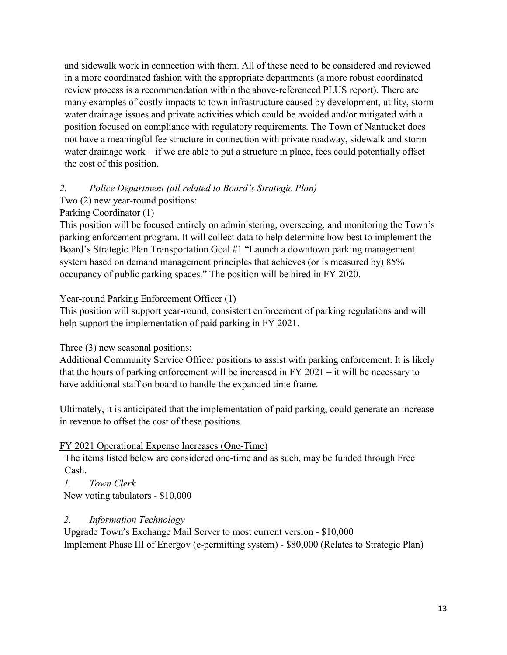and sidewalk work in connection with them. All of these need to be considered and reviewed in a more coordinated fashion with the appropriate departments (a more robust coordinated review process is a recommendation within the above-referenced PLUS report). There are many examples of costly impacts to town infrastructure caused by development, utility, storm water drainage issues and private activities which could be avoided and/or mitigated with a position focused on compliance with regulatory requirements. The Town of Nantucket does not have a meaningful fee structure in connection with private roadway, sidewalk and storm water drainage work – if we are able to put a structure in place, fees could potentially offset the cost of this position.

# *2. Police Department (all related to Board's Strategic Plan)*

Two (2) new year-round positions:

Parking Coordinator (1)

This position will be focused entirely on administering, overseeing, and monitoring the Town's parking enforcement program. It will collect data to help determine how best to implement the Board's Strategic Plan Transportation Goal #1 "Launch a downtown parking management system based on demand management principles that achieves (or is measured by) 85% occupancy of public parking spaces." The position will be hired in FY 2020.

Year-round Parking Enforcement Officer (1)

This position will support year-round, consistent enforcement of parking regulations and will help support the implementation of paid parking in FY 2021.

Three (3) new seasonal positions:

Additional Community Service Officer positions to assist with parking enforcement. It is likely that the hours of parking enforcement will be increased in FY 2021 – it will be necessary to have additional staff on board to handle the expanded time frame.

Ultimately, it is anticipated that the implementation of paid parking, could generate an increase in revenue to offset the cost of these positions.

# FY 2021 Operational Expense Increases (One-Time)

The items listed below are considered one-time and as such, may be funded through Free Cash.

*1. Town Clerk*

New voting tabulators - \$10,000

# *2. Information Technology*

Upgrade Town's Exchange Mail Server to most current version - \$10,000 Implement Phase III of Energov (e-permitting system) - \$80,000 (Relates to Strategic Plan)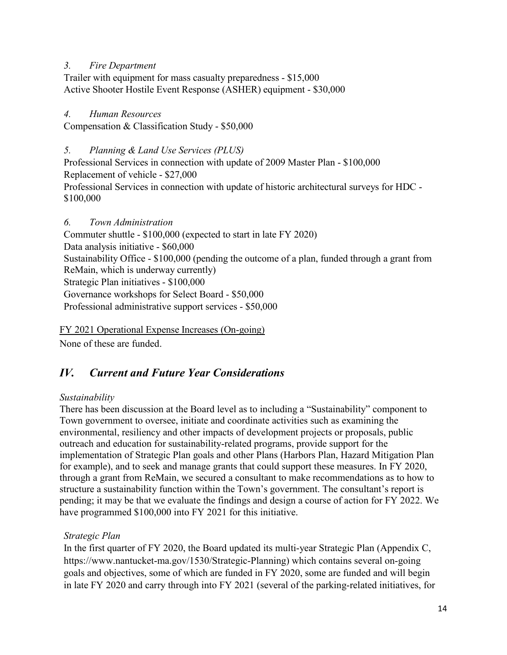### *3. Fire Department*

Trailer with equipment for mass casualty preparedness - \$15,000 Active Shooter Hostile Event Response (ASHER) equipment - \$30,000

*4. Human Resources*

Compensation & Classification Study - \$50,000

*5. Planning & Land Use Services (PLUS)*

Professional Services in connection with update of 2009 Master Plan - \$100,000 Replacement of vehicle - \$27,000 Professional Services in connection with update of historic architectural surveys for HDC - \$100,000

*6. Town Administration* Commuter shuttle - \$100,000 (expected to start in late FY 2020) Data analysis initiative - \$60,000 Sustainability Office - \$100,000 (pending the outcome of a plan, funded through a grant from ReMain, which is underway currently) Strategic Plan initiatives - \$100,000 Governance workshops for Select Board - \$50,000 Professional administrative support services - \$50,000

FY 2021 Operational Expense Increases (On-going)

None of these are funded.

# *IV. Current and Future Year Considerations*

### *Sustainability*

There has been discussion at the Board level as to including a "Sustainability" component to Town government to oversee, initiate and coordinate activities such as examining the environmental, resiliency and other impacts of development projects or proposals, public outreach and education for sustainability-related programs, provide support for the implementation of Strategic Plan goals and other Plans (Harbors Plan, Hazard Mitigation Plan for example), and to seek and manage grants that could support these measures. In FY 2020, through a grant from ReMain, we secured a consultant to make recommendations as to how to structure a sustainability function within the Town's government. The consultant's report is pending; it may be that we evaluate the findings and design a course of action for FY 2022. We have programmed \$100,000 into FY 2021 for this initiative.

### *Strategic Plan*

In the first quarter of FY 2020, the Board updated its multi-year Strategic Plan (Appendix C, https://www.nantucket-ma.gov/1530/Strategic-Planning) which contains several on-going goals and objectives, some of which are funded in FY 2020, some are funded and will begin in late FY 2020 and carry through into FY 2021 (several of the parking-related initiatives, for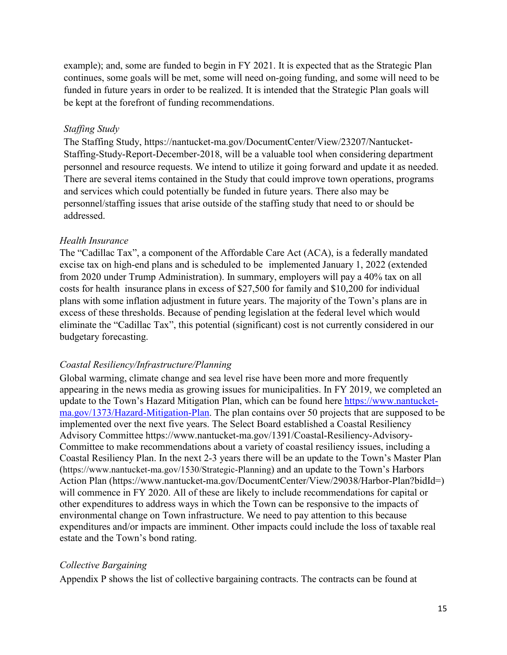example); and, some are funded to begin in FY 2021. It is expected that as the Strategic Plan continues, some goals will be met, some will need on-going funding, and some will need to be funded in future years in order to be realized. It is intended that the Strategic Plan goals will be kept at the forefront of funding recommendations.

#### *Staffing Study*

The Staffing Study, https://nantucket-ma.gov/DocumentCenter/View/23207/Nantucket-Staffing-Study-Report-December-2018, will be a valuable tool when considering department personnel and resource requests. We intend to utilize it going forward and update it as needed. There are several items contained in the Study that could improve town operations, programs and services which could potentially be funded in future years. There also may be personnel/staffing issues that arise outside of the staffing study that need to or should be addressed.

#### *Health Insurance*

The "Cadillac Tax", a component of the Affordable Care Act (ACA), is a federally mandated excise tax on high-end plans and is scheduled to be implemented January 1, 2022 (extended from 2020 under Trump Administration). In summary, employers will pay a 40% tax on all costs for health insurance plans in excess of \$27,500 for family and \$10,200 for individual plans with some inflation adjustment in future years. The majority of the Town's plans are in excess of these thresholds. Because of pending legislation at the federal level which would eliminate the "Cadillac Tax", this potential (significant) cost is not currently considered in our budgetary forecasting.

#### *Coastal Resiliency/Infrastructure/Planning*

Global warming, climate change and sea level rise have been more and more frequently appearing in the news media as growing issues for municipalities. In FY 2019, we completed an update to the Town's Hazard Mitigation Plan, which can be found here [https://www.nantucket](https://www.nantucket-ma.gov/1373/Hazard-Mitigation-Plan)[ma.gov/1373/Hazard-Mitigation-Plan.](https://www.nantucket-ma.gov/1373/Hazard-Mitigation-Plan) The plan contains over 50 projects that are supposed to be implemented over the next five years. The Select Board established a Coastal Resiliency Advisory Committee https://www.nantucket-ma.gov/1391/Coastal-Resiliency-Advisory-Committee to make recommendations about a variety of coastal resiliency issues, including a Coastal Resiliency Plan. In the next 2-3 years there will be an update to the Town's Master Plan (https://www.nantucket-ma.gov/1530/Strategic-Planning) and an update to the Town's Harbors Action Plan (https://www.nantucket-ma.gov/DocumentCenter/View/29038/Harbor-Plan?bidId=) will commence in FY 2020. All of these are likely to include recommendations for capital or other expenditures to address ways in which the Town can be responsive to the impacts of environmental change on Town infrastructure. We need to pay attention to this because expenditures and/or impacts are imminent. Other impacts could include the loss of taxable real estate and the Town's bond rating.

#### *Collective Bargaining*

Appendix P shows the list of collective bargaining contracts. The contracts can be found at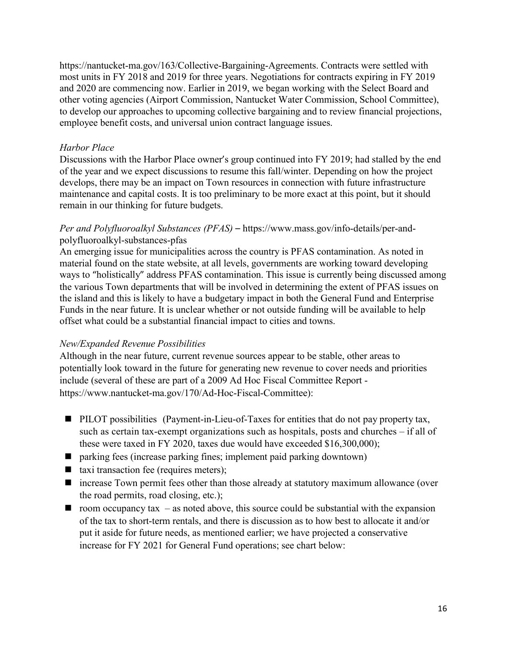[https://nantucket-ma.gov/163/Collective-Bargaining-Agreements.](https://nantucket-ma.gov/163/Collective-Bargaining-Agreements) Contracts were settled with most units in FY 2018 and 2019 for three years. Negotiations for contracts expiring in FY 2019 and 2020 are commencing now. Earlier in 2019, we began working with the Select Board and other voting agencies (Airport Commission, Nantucket Water Commission, School Committee), to develop our approaches to upcoming collective bargaining and to review financial projections, employee benefit costs, and universal union contract language issues.

### *Harbor Place*

Discussions with the Harbor Place owner's group continued into FY 2019; had stalled by the end of the year and we expect discussions to resume this fall/winter. Depending on how the project develops, there may be an impact on Town resources in connection with future infrastructure maintenance and capital costs. It is too preliminary to be more exact at this point, but it should remain in our thinking for future budgets.

### *Per and Polyfluoroalkyl Substances (PFAS)* – [https://www.mass.gov/info-details/per-and](https://www.mass.gov/info-details/per-and-polyfluoroalkyl-substances-pfas)[polyfluoroalkyl-substances-pfas](https://www.mass.gov/info-details/per-and-polyfluoroalkyl-substances-pfas)

An emerging issue for municipalities across the country is PFAS contamination. As noted in material found on the state website, at all levels, governments are working toward developing ways to "holistically" address PFAS contamination. This issue is currently being discussed among the various Town departments that will be involved in determining the extent of PFAS issues on the island and this is likely to have a budgetary impact in both the General Fund and Enterprise Funds in the near future. It is unclear whether or not outside funding will be available to help offset what could be a substantial financial impact to cities and towns.

### *New/Expanded Revenue Possibilities*

Although in the near future, current revenue sources appear to be stable, other areas to potentially look toward in the future for generating new revenue to cover needs and priorities include (several of these are part of a 2009 Ad Hoc Fiscal Committee Report https://www.nantucket-ma.gov/170/Ad-Hoc-Fiscal-Committee):

- **PILOT** possibilities (Payment-in-Lieu-of-Taxes for entities that do not pay property tax, such as certain tax-exempt organizations such as hospitals, posts and churches – if all of these were taxed in FY 2020, taxes due would have exceeded \$16,300,000);
- parking fees (increase parking fines; implement paid parking downtown)
- taxi transaction fee (requires meters);
- increase Town permit fees other than those already at statutory maximum allowance (over the road permits, road closing, etc.);
- $\blacksquare$  room occupancy tax as noted above, this source could be substantial with the expansion of the tax to short-term rentals, and there is discussion as to how best to allocate it and/or put it aside for future needs, as mentioned earlier; we have projected a conservative increase for FY 2021 for General Fund operations; see chart below: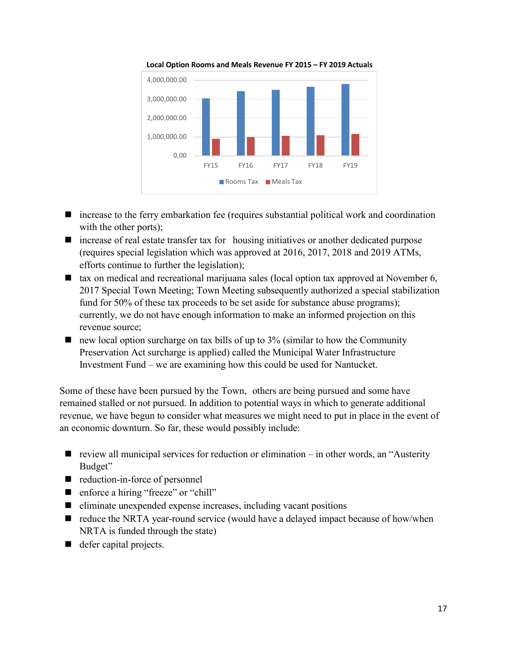

**Local Option Rooms and Meals Revenue FY 2015 – FY 2019 Actuals**

- $\blacksquare$  increase to the ferry embarkation fee (requires substantial political work and coordination with the other ports);
- increase of real estate transfer tax for housing initiatives or another dedicated purpose (requires special legislation which was approved at 2016, 2017, 2018 and 2019 ATMs, efforts continue to further the legislation);
- $\blacksquare$  tax on medical and recreational marijuana sales (local option tax approved at November 6, 2017 Special Town Meeting; Town Meeting subsequently authorized a special stabilization fund for 50% of these tax proceeds to be set aside for substance abuse programs); currently, we do not have enough information to make an informed projection on this revenue source;
- $\blacksquare$  new local option surcharge on tax bills of up to 3% (similar to how the Community Preservation Act surcharge is applied) called the Municipal Water Infrastructure Investment Fund – we are examining how this could be used for Nantucket.

Some of these have been pursued by the Town, others are being pursued and some have remained stalled or not pursued. In addition to potential ways in which to generate additional revenue, we have begun to consider what measures we might need to put in place in the event of an economic downturn. So far, these would possibly include:

- $\blacksquare$  review all municipal services for reduction or elimination in other words, an "Austerity" Budget"
- reduction-in-force of personnel
- enforce a hiring "freeze" or "chill"
- $\blacksquare$  eliminate unexpended expense increases, including vacant positions
- $\blacksquare$  reduce the NRTA year-round service (would have a delayed impact because of how/when NRTA is funded through the state)
- defer capital projects.